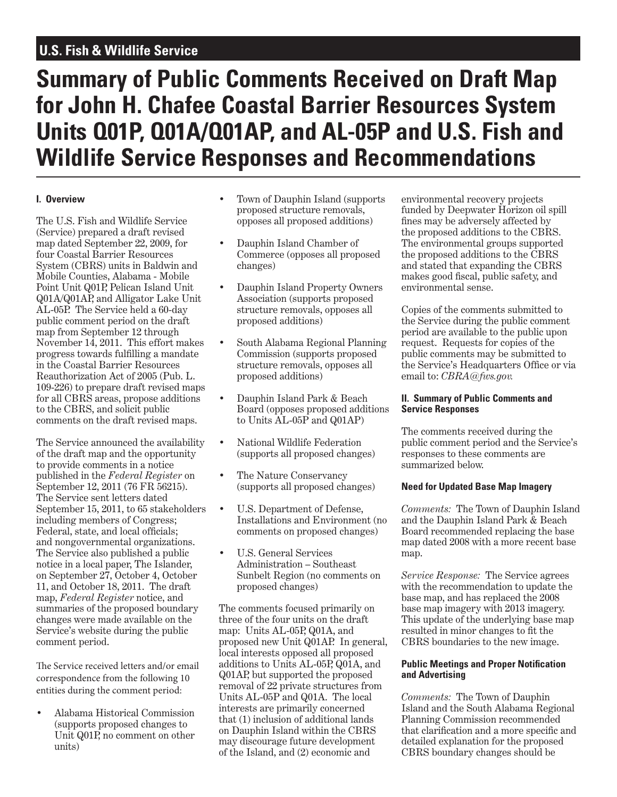# **U.S. Fish & Wildlife Service**

# **Summary of Public Comments Received on Draft Map for John H. Chafee Coastal Barrier Resources System Units Q01P, Q01A/Q01AP, and AL-05P and U.S. Fish and Wildlife Service Responses and Recommendations**

# **I. Overview**

The U.S. Fish and Wildlife Service (Service) prepared a draft revised map dated September 22, 2009, for four Coastal Barrier Resources System (CBRS) units in Baldwin and Mobile Counties, Alabama - Mobile Point Unit Q01P, Pelican Island Unit Q01A/Q01AP, and Alligator Lake Unit AL-05P. The Service held a 60-day public comment period on the draft map from September 12 through November 14, 2011. This effort makes progress towards fulfilling a mandate in the Coastal Barrier Resources Reauthorization Act of 2005 (Pub. L. 109-226) to prepare draft revised maps for all CBRS areas, propose additions to the CBRS, and solicit public comments on the draft revised maps.

The Service announced the availability of the draft map and the opportunity to provide comments in a notice published in the *Federal Register* on September 12, 2011 (76 FR 56215). The Service sent letters dated September 15, 2011, to 65 stakeholders including members of Congress; Federal, state, and local officials; and nongovernmental organizations. The Service also published a public notice in a local paper, The Islander, on September 27, October 4, October 11, and October 18, 2011. The draft map, *Federal Register* notice, and summaries of the proposed boundary changes were made available on the Service's website during the public comment period.

The Service received letters and/or email correspondence from the following 10 entities during the comment period:

• Alabama Historical Commission (supports proposed changes to Unit Q01P, no comment on other units)

- Town of Dauphin Island (supports proposed structure removals, opposes all proposed additions)
- Dauphin Island Chamber of Commerce (opposes all proposed changes)
- Dauphin Island Property Owners Association (supports proposed structure removals, opposes all proposed additions)
- South Alabama Regional Planning Commission (supports proposed structure removals, opposes all proposed additions)
- Dauphin Island Park & Beach Board (opposes proposed additions to Units AL-05P and Q01AP)
- National Wildlife Federation (supports all proposed changes)
- The Nature Conservancy (supports all proposed changes)
- U.S. Department of Defense, Installations and Environment (no comments on proposed changes)
- U.S. General Services Administration – Southeast Sunbelt Region (no comments on proposed changes)

The comments focused primarily on three of the four units on the draft map: Units AL-05P, Q01A, and proposed new Unit Q01AP. In general, local interests opposed all proposed additions to Units AL-05P, Q01A, and Q01AP, but supported the proposed removal of 22 private structures from Units AL-05P and Q01A. The local interests are primarily concerned that (1) inclusion of additional lands on Dauphin Island within the CBRS may discourage future development of the Island, and (2) economic and

environmental recovery projects funded by Deepwater Horizon oil spill fines may be adversely affected by the proposed additions to the CBRS. The environmental groups supported the proposed additions to the CBRS and stated that expanding the CBRS makes good fiscal, public safety, and environmental sense.

Copies of the comments submitted to the Service during the public comment period are available to the public upon request. Requests for copies of the public comments may be submitted to the Service's Headquarters Office or via email to: *CBRA@fws.gov.*

# **II. Summary of Public Comments and Service Responses**

The comments received during the public comment period and the Service's responses to these comments are summarized below.

# **Need for Updated Base Map Imagery**

*Comments:* The Town of Dauphin Island and the Dauphin Island Park & Beach Board recommended replacing the base map dated 2008 with a more recent base map.

*Service Response:* The Service agrees with the recommendation to update the base map, and has replaced the 2008 base map imagery with 2013 imagery. This update of the underlying base map resulted in minor changes to fit the CBRS boundaries to the new image.

# **Public Meetings and Proper Notification and Advertising**

*Comments:* The Town of Dauphin Island and the South Alabama Regional Planning Commission recommended that clarification and a more specific and detailed explanation for the proposed CBRS boundary changes should be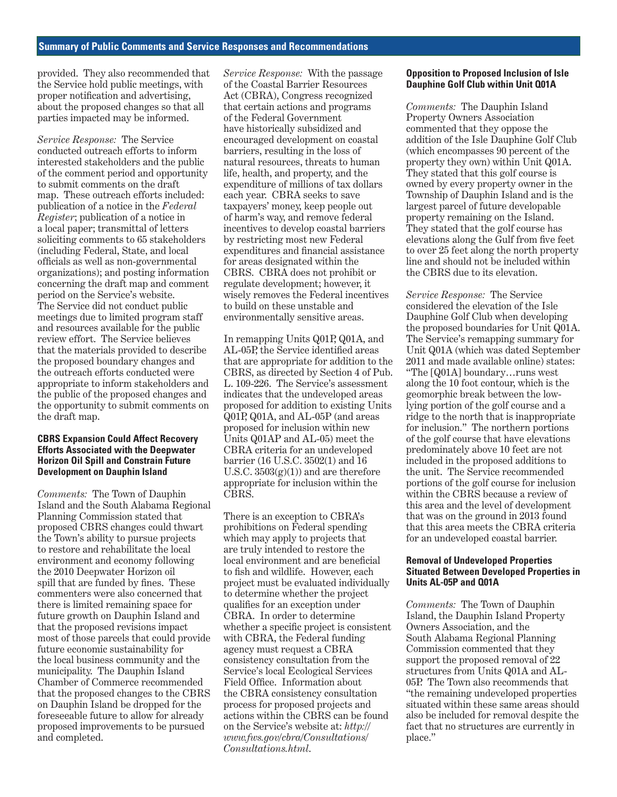provided. They also recommended that the Service hold public meetings, with proper notification and advertising, about the proposed changes so that all parties impacted may be informed.

*Service Response:* The Service conducted outreach efforts to inform interested stakeholders and the public of the comment period and opportunity to submit comments on the draft map. These outreach efforts included: publication of a notice in the *Federal Register*; publication of a notice in a local paper; transmittal of letters soliciting comments to 65 stakeholders (including Federal, State, and local officials as well as non-governmental organizations); and posting information concerning the draft map and comment period on the Service's website. The Service did not conduct public meetings due to limited program staff and resources available for the public review effort. The Service believes that the materials provided to describe the proposed boundary changes and the outreach efforts conducted were appropriate to inform stakeholders and the public of the proposed changes and the opportunity to submit comments on the draft map.

#### **CBRS Expansion Could Affect Recovery Efforts Associated with the Deepwater Horizon Oil Spill and Constrain Future Development on Dauphin Island**

*Comments:* The Town of Dauphin Island and the South Alabama Regional Planning Commission stated that proposed CBRS changes could thwart the Town's ability to pursue projects to restore and rehabilitate the local environment and economy following the 2010 Deepwater Horizon oil spill that are funded by fines. These commenters were also concerned that there is limited remaining space for future growth on Dauphin Island and that the proposed revisions impact most of those parcels that could provide future economic sustainability for the local business community and the municipality. The Dauphin Island Chamber of Commerce recommended that the proposed changes to the CBRS on Dauphin Island be dropped for the foreseeable future to allow for already proposed improvements to be pursued and completed.

*Service Response:* With the passage of the Coastal Barrier Resources Act (CBRA), Congress recognized that certain actions and programs of the Federal Government have historically subsidized and encouraged development on coastal barriers, resulting in the loss of natural resources, threats to human life, health, and property, and the expenditure of millions of tax dollars each year. CBRA seeks to save taxpayers' money, keep people out of harm's way, and remove federal incentives to develop coastal barriers by restricting most new Federal expenditures and financial assistance for areas designated within the CBRS. CBRA does not prohibit or regulate development; however, it wisely removes the Federal incentives to build on these unstable and environmentally sensitive areas.

In remapping Units Q01P, Q01A, and AL-05P, the Service identified areas that are appropriate for addition to the CBRS, as directed by Section 4 of Pub. L. 109-226. The Service's assessment indicates that the undeveloped areas proposed for addition to existing Units Q01P, Q01A, and AL-05P (and areas proposed for inclusion within new Units Q01AP and AL-05) meet the CBRA criteria for an undeveloped barrier (16 U.S.C. 3502(1) and 16 U.S.C.  $3503(g)(1)$  and are therefore appropriate for inclusion within the CBRS.

There is an exception to CBRA's prohibitions on Federal spending which may apply to projects that are truly intended to restore the local environment and are beneficial to fish and wildlife. However, each project must be evaluated individually to determine whether the project qualifies for an exception under CBRA. In order to determine whether a specific project is consistent with CBRA, the Federal funding agency must request a CBRA consistency consultation from the Service's local Ecological Services Field Office. Information about the CBRA consistency consultation process for proposed projects and actions within the CBRS can be found on the Service's website at: *http:// www.fws.gov/cbra/Consultations/ Consultations.html*.

#### **Opposition to Proposed Inclusion of Isle Dauphine Golf Club within Unit Q01A**

*Comments:* The Dauphin Island Property Owners Association commented that they oppose the addition of the Isle Dauphine Golf Club (which encompasses 90 percent of the property they own) within Unit Q01A. They stated that this golf course is owned by every property owner in the Township of Dauphin Island and is the largest parcel of future developable property remaining on the Island. They stated that the golf course has elevations along the Gulf from five feet to over 25 feet along the north property line and should not be included within the CBRS due to its elevation.

*Service Response:* The Service considered the elevation of the Isle Dauphine Golf Club when developing the proposed boundaries for Unit Q01A. The Service's remapping summary for Unit Q01A (which was dated September 2011 and made available online) states: "The [Q01A] boundary…runs west along the 10 foot contour, which is the geomorphic break between the lowlying portion of the golf course and a ridge to the north that is inappropriate for inclusion." The northern portions of the golf course that have elevations predominately above 10 feet are not included in the proposed additions to the unit. The Service recommended portions of the golf course for inclusion within the CBRS because a review of this area and the level of development that was on the ground in 2013 found that this area meets the CBRA criteria for an undeveloped coastal barrier.

#### **Removal of Undeveloped Properties Situated Between Developed Properties in Units AL-05P and Q01A**

*Comments:* The Town of Dauphin Island, the Dauphin Island Property Owners Association, and the South Alabama Regional Planning Commission commented that they support the proposed removal of 22 structures from Units Q01A and AL-05P. The Town also recommends that "the remaining undeveloped properties situated within these same areas should also be included for removal despite the fact that no structures are currently in place."